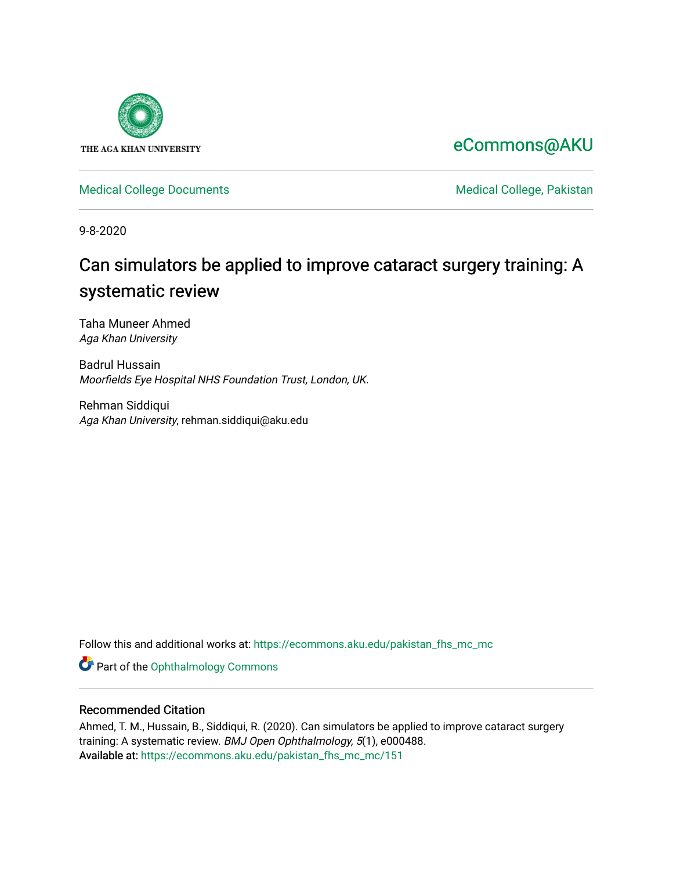

# [eCommons@AKU](https://ecommons.aku.edu/)

[Medical College Documents](https://ecommons.aku.edu/pakistan_fhs_mc_mc) **Medical College, Pakistan** 

9-8-2020

# Can simulators be applied to improve cataract surgery training: A systematic review

Taha Muneer Ahmed Aga Khan University

Badrul Hussain Moorfields Eye Hospital NHS Foundation Trust, London, UK.

Rehman Siddiqui Aga Khan University, rehman.siddiqui@aku.edu

Follow this and additional works at: [https://ecommons.aku.edu/pakistan\\_fhs\\_mc\\_mc](https://ecommons.aku.edu/pakistan_fhs_mc_mc?utm_source=ecommons.aku.edu%2Fpakistan_fhs_mc_mc%2F151&utm_medium=PDF&utm_campaign=PDFCoverPages) 

Part of the [Ophthalmology Commons](http://network.bepress.com/hgg/discipline/695?utm_source=ecommons.aku.edu%2Fpakistan_fhs_mc_mc%2F151&utm_medium=PDF&utm_campaign=PDFCoverPages)

## Recommended Citation

Ahmed, T. M., Hussain, B., Siddiqui, R. (2020). Can simulators be applied to improve cataract surgery training: A systematic review. BMJ Open Ophthalmology, 5(1), e000488. Available at: [https://ecommons.aku.edu/pakistan\\_fhs\\_mc\\_mc/151](https://ecommons.aku.edu/pakistan_fhs_mc_mc/151)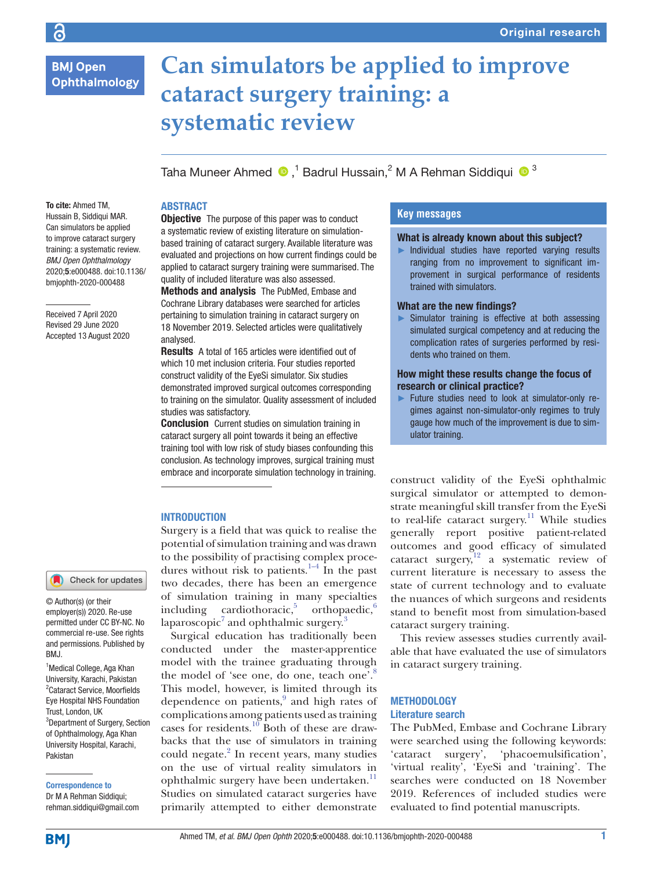## **BMJ Open** Ophthalmology

# **Can simulators be applied to improve cataract surgery training: a systematic review**

TahaMuneer Ahmed  $\bigcirc$  ,<sup>1</sup> Badrul Hussain,<sup>2</sup> M A Rehman Siddiqui  $\bigcirc$  <sup>3</sup>

#### **ABSTRACT**

To cite: Ahmed TM, Hussain B, Siddiqui MAR. Can simulators be applied to improve cataract surgery training: a systematic review. *BMJ Open Ophthalmology* 2020;5:e000488. doi:10.1136/ bmjophth-2020-000488

Received 7 April 2020 Revised 29 June 2020 Accepted 13 August 2020

#### Check for updates

© Author(s) (or their employer(s)) 2020. Re-use permitted under CC BY-NC. No commercial re-use. See rights and permissions. Published by BMJ.

<sup>1</sup> Medical College, Aga Khan University, Karachi, Pakistan 2 Cataract Service, Moorfields Eye Hospital NHS Foundation Trust, London, UK <sup>3</sup>Department of Surgery, Section of Ophthalmology, Aga Khan University Hospital, Karachi, Pakistan

Correspondence to Dr M A Rehman Siddiqui;

rehman.siddiqui@gmail.com

**Objective** The purpose of this paper was to conduct a systematic review of existing literature on simulationbased training of cataract surgery. Available literature was evaluated and projections on how current findings could be applied to cataract surgery training were summarised. The quality of included literature was also assessed.

Methods and analysis The PubMed, Embase and Cochrane Library databases were searched for articles pertaining to simulation training in cataract surgery on 18 November 2019. Selected articles were qualitatively analysed.

Results A total of 165 articles were identified out of which 10 met inclusion criteria. Four studies reported construct validity of the EyeSi simulator. Six studies demonstrated improved surgical outcomes corresponding to training on the simulator. Quality assessment of included studies was satisfactory.

Conclusion Current studies on simulation training in cataract surgery all point towards it being an effective training tool with low risk of study biases confounding this conclusion. As technology improves, surgical training must embrace and incorporate simulation technology in training.

#### **INTRODUCTION**

Surgery is a field that was quick to realise the potential of simulation training and was drawn to the possibility of practising complex procedures without risk to patients. $1-4$  In the past two decades, there has been an emergence of simulation training in many specialties including cardiothoracic, orthopaedic,  $6/6$ laparoscopic $^7$  $^7$  and ophthalmic surgery. $^3$  $^3$ 

Surgical education has traditionally been conducted under the master-apprentice model with the trainee graduating through the model of 'see one, do one, teach one'.<sup>[8](#page-8-5)</sup> This model, however, is limited through its dependence on patients,<sup>[9](#page-8-6)</sup> and high rates of complications among patients used as training cases for residents.<sup>10</sup> Both of these are drawbacks that the use of simulators in training could negate.<sup>2</sup> In recent years, many studies on the use of virtual reality simulators in ophthalmic surgery have been undertaken.<sup>[11](#page-8-9)</sup> Studies on simulated cataract surgeries have primarily attempted to either demonstrate

### **Key messages**

#### What is already known about this subject?

► Individual studies have reported varying results ranging from no improvement to significant improvement in surgical performance of residents trained with simulators.

#### What are the new findings?

► Simulator training is effective at both assessing simulated surgical competency and at reducing the complication rates of surgeries performed by residents who trained on them.

#### How might these results change the focus of research or clinical practice?

► Future studies need to look at simulator-only regimes against non-simulator-only regimes to truly gauge how much of the improvement is due to simulator training.

construct validity of the EyeSi ophthalmic surgical simulator or attempted to demonstrate meaningful skill transfer from the EyeSi to real-life cataract surgery.<sup>11</sup> While studies generally report positive patient-related outcomes and good efficacy of simulated cataract surgery, $12$  a systematic review of current literature is necessary to assess the state of current technology and to evaluate the nuances of which surgeons and residents stand to benefit most from simulation-based cataract surgery training.

This review assesses studies currently available that have evaluated the use of simulators in cataract surgery training.

#### **METHODOLOGY** Literature search

The PubMed, Embase and Cochrane Library were searched using the following keywords: 'cataract surgery', 'phacoemulsification', 'virtual reality', 'EyeSi and 'training'. The searches were conducted on 18 November 2019. References of included studies were evaluated to find potential manuscripts.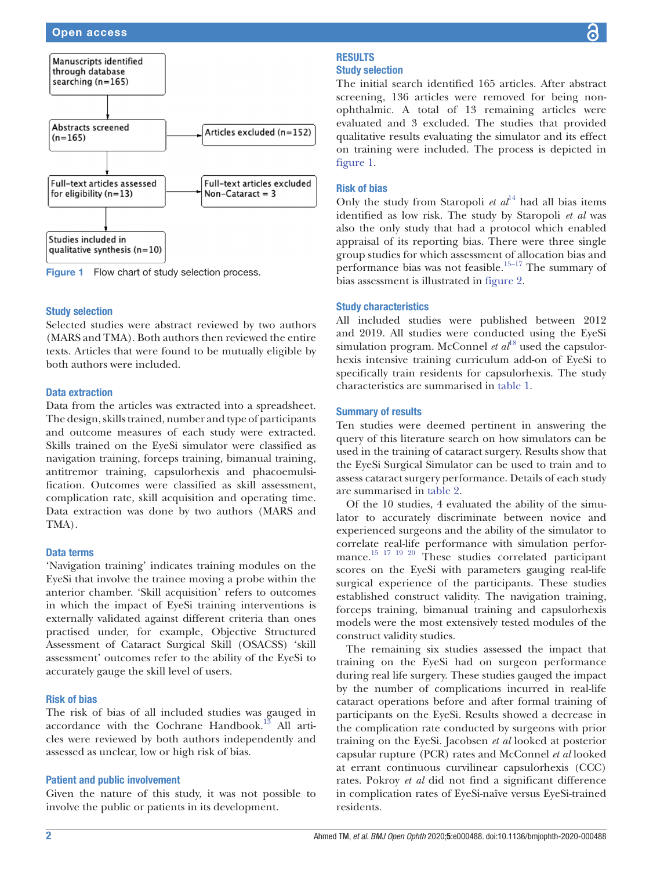

<span id="page-2-0"></span>Figure 1 Flow chart of study selection process.

#### Study selection

Selected studies were abstract reviewed by two authors (MARS and TMA). Both authors then reviewed the entire texts. Articles that were found to be mutually eligible by both authors were included.

#### Data extraction

Data from the articles was extracted into a spreadsheet. The design, skills trained, number and type of participants and outcome measures of each study were extracted. Skills trained on the EyeSi simulator were classified as navigation training, forceps training, bimanual training, antitremor training, capsulorhexis and phacoemulsification. Outcomes were classified as skill assessment, complication rate, skill acquisition and operating time. Data extraction was done by two authors (MARS and TMA).

#### Data terms

'Navigation training' indicates training modules on the EyeSi that involve the trainee moving a probe within the anterior chamber. 'Skill acquisition' refers to outcomes in which the impact of EyeSi training interventions is externally validated against different criteria than ones practised under, for example, Objective Structured Assessment of Cataract Surgical Skill (OSACSS) 'skill assessment' outcomes refer to the ability of the EyeSi to accurately gauge the skill level of users.

#### Risk of bias

The risk of bias of all included studies was gauged in accordance with the Cochrane Handbook.<sup>13</sup> All articles were reviewed by both authors independently and assessed as unclear, low or high risk of bias.

#### Patient and public involvement

Given the nature of this study, it was not possible to involve the public or patients in its development.

#### **RESULTS** Study selection

The initial search identified 165 articles. After abstract screening, 136 articles were removed for being nonophthalmic. A total of 13 remaining articles were evaluated and 3 excluded. The studies that provided qualitative results evaluating the simulator and its effect on training were included. The process is depicted in [figure](#page-2-0) 1.

#### Risk of bias

Only the study from Staropoli  $et al^{14}$  $et al^{14}$  $et al^{14}$  had all bias items identified as low risk. The study by Staropoli *et al* was also the only study that had a protocol which enabled appraisal of its reporting bias. There were three single group studies for which assessment of allocation bias and performance bias was not feasible.<sup>15–17</sup> The summary of bias assessment is illustrated in [figure](#page-3-0) 2.

#### Study characteristics

All included studies were published between 2012 and 2019. All studies were conducted using the EyeSi simulation program. McConnel *et al*<sup>[18](#page-8-14)</sup> used the capsulorhexis intensive training curriculum add-on of EyeSi to specifically train residents for capsulorhexis. The study characteristics are summarised in [table](#page-3-1) 1.

#### Summary of results

Ten studies were deemed pertinent in answering the query of this literature search on how simulators can be used in the training of cataract surgery. Results show that the EyeSi Surgical Simulator can be used to train and to assess cataract surgery performance. Details of each study are summarised in [table](#page-4-0) 2.

Of the 10 studies, 4 evaluated the ability of the simulator to accurately discriminate between novice and experienced surgeons and the ability of the simulator to correlate real-life performance with simulation performance.<sup>15 17 19 20</sup> These studies correlated participant scores on the EyeSi with parameters gauging real-life surgical experience of the participants. These studies established construct validity. The navigation training, forceps training, bimanual training and capsulorhexis models were the most extensively tested modules of the construct validity studies.

The remaining six studies assessed the impact that training on the EyeSi had on surgeon performance during real life surgery. These studies gauged the impact by the number of complications incurred in real-life cataract operations before and after formal training of participants on the EyeSi. Results showed a decrease in the complication rate conducted by surgeons with prior training on the EyeSi. Jacobsen *et al* looked at posterior capsular rupture (PCR) rates and McConnel *et al* looked at errant continuous curvilinear capsulorhexis (CCC) rates. Pokroy *et al* did not find a significant difference in complication rates of EyeSi-naïve versus EyeSi-trained residents.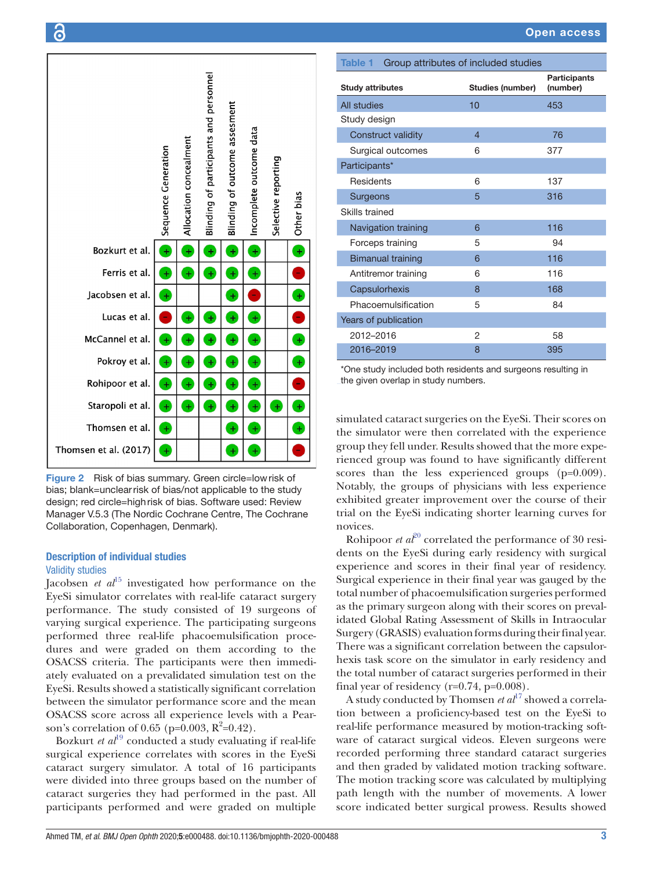

<span id="page-3-0"></span>Figure 2 Risk of bias summary. Green circle=lowrisk of bias; blank=unclearrisk of bias/not applicable to the study design; red circle=highrisk of bias. Software used: Review Manager V.5.3 (The Nordic Cochrane Centre, The Cochrane Collaboration, Copenhagen, Denmark).

#### Description of individual studies Validity studies

Jacobsen *et al*<sup>[15](#page-8-13)</sup> investigated how performance on the EyeSi simulator correlates with real-life cataract surgery performance. The study consisted of 19 surgeons of varying surgical experience. The participating surgeons performed three real-life phacoemulsification procedures and were graded on them according to the OSACSS criteria. The participants were then immediately evaluated on a prevalidated simulation test on the EyeSi. Results showed a statistically significant correlation between the simulator performance score and the mean OSACSS score across all experience levels with a Pearson's correlation of 0.65 (p= $\hat{0.003}$ , R<sup>2</sup>=0.42).

Bozkurt *et al*<sup>[19](#page-8-15)</sup> conducted a study evaluating if real-life surgical experience correlates with scores in the EyeSi cataract surgery simulator. A total of 16 participants were divided into three groups based on the number of cataract surgeries they had performed in the past. All participants performed and were graded on multiple

<span id="page-3-1"></span>

| Group attributes of included studies<br><b>Table 1</b> |                  |                                 |
|--------------------------------------------------------|------------------|---------------------------------|
| <b>Study attributes</b>                                | Studies (number) | <b>Participants</b><br>(number) |
| All studies                                            | 10               | 453                             |
| Study design                                           |                  |                                 |
| <b>Construct validity</b>                              | 4                | 76                              |
| Surgical outcomes                                      | 6                | 377                             |
| Participants*                                          |                  |                                 |
| Residents                                              | 6                | 137                             |
| Surgeons                                               | 5                | 316                             |
| Skills trained                                         |                  |                                 |
| Navigation training                                    | 6                | 116                             |
| Forceps training                                       | 5                | 94                              |
| <b>Bimanual training</b>                               | 6                | 116                             |
| Antitremor training                                    | 6                | 116                             |
| Capsulorhexis                                          | 8                | 168                             |
| Phacoemulsification                                    | 5                | 84                              |
| Years of publication                                   |                  |                                 |
| 2012-2016                                              | 2                | 58                              |
| 2016-2019                                              | 8                | 395                             |
|                                                        |                  |                                 |

\*One study included both residents and surgeons resulting in the given overlap in study numbers.

simulated cataract surgeries on the EyeSi. Their scores on the simulator were then correlated with the experience group they fell under. Results showed that the more experienced group was found to have significantly different scores than the less experienced groups (p=0.009). Notably, the groups of physicians with less experience exhibited greater improvement over the course of their trial on the EyeSi indicating shorter learning curves for novices.

Rohipoor *et al*<sup>[20](#page-8-16)</sup> correlated the performance of 30 residents on the EyeSi during early residency with surgical experience and scores in their final year of residency. Surgical experience in their final year was gauged by the total number of phacoemulsification surgeries performed as the primary surgeon along with their scores on prevalidated Global Rating Assessment of Skills in Intraocular Surgery (GRASIS) evaluation forms during their final year. There was a significant correlation between the capsulorhexis task score on the simulator in early residency and the total number of cataract surgeries performed in their final year of residency (r=0.74, p=0.008).

A study conducted by Thomsen *et al*<sup>[17](#page-8-17)</sup> showed a correlation between a proficiency-based test on the EyeSi to real-life performance measured by motion-tracking software of cataract surgical videos. Eleven surgeons were recorded performing three standard cataract surgeries and then graded by validated motion tracking software. The motion tracking score was calculated by multiplying path length with the number of movements. A lower score indicated better surgical prowess. Results showed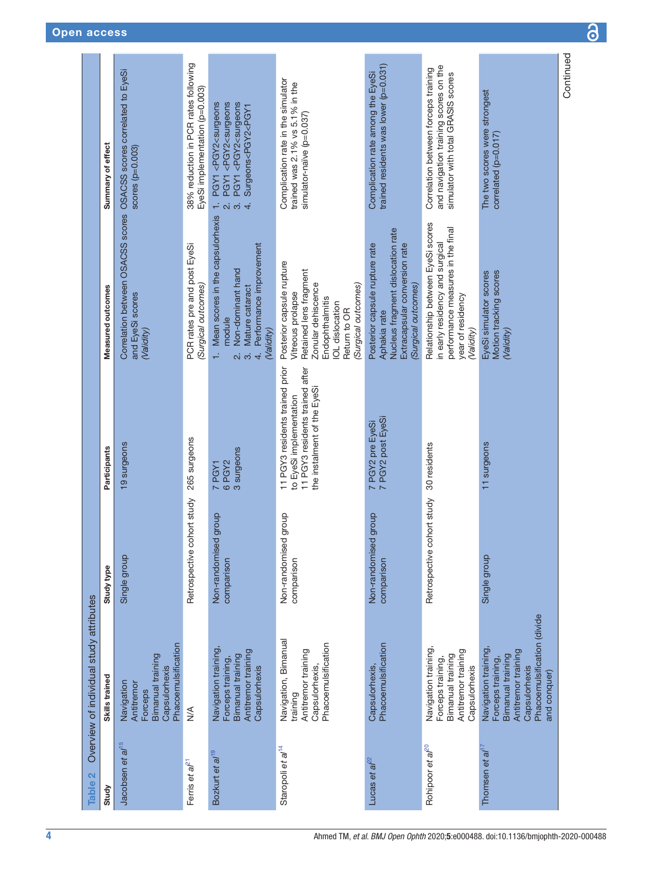<span id="page-4-0"></span>

| Table 2                       | Overview of individual study attributes                                                                                                              |                                    |                                                                                                                              |                                                                                                                                                                                    |                                                                                                                                                                                                                                                                                                            |
|-------------------------------|------------------------------------------------------------------------------------------------------------------------------------------------------|------------------------------------|------------------------------------------------------------------------------------------------------------------------------|------------------------------------------------------------------------------------------------------------------------------------------------------------------------------------|------------------------------------------------------------------------------------------------------------------------------------------------------------------------------------------------------------------------------------------------------------------------------------------------------------|
| Study                         | Skills trained                                                                                                                                       | Study type                         | Participants                                                                                                                 | Measured outcomes                                                                                                                                                                  | Summary of effect                                                                                                                                                                                                                                                                                          |
| Jacobsen et al <sup>15</sup>  | Phacoemulsification<br>Bimanual training<br>Capsulorhexis<br>Navigation<br>Antitremor<br>Forceps                                                     | Single group                       | 19 surgeons                                                                                                                  | Correlation between OSACSS scores OSACSS scores correlated to EyeSi<br>and EyeSi scores<br>(Validity)                                                                              | $scores$ ( $p=0.003$ )                                                                                                                                                                                                                                                                                     |
| Ferris et $a^{l^2}$           | $\frac{1}{2}$                                                                                                                                        | Retrospective cohort study         | 265 surgeons                                                                                                                 | PCR rates pre and post EyeSi<br>(Surgical outcomes)                                                                                                                                | 38% reduction in PCR rates following<br>EyeSi implementation (p=0.003)                                                                                                                                                                                                                                     |
| Bozkurt et al <sup>19</sup>   | Navigation training<br>Antitremor training<br>Bimanual training<br>Forceps training,<br>Capsulorhexis                                                | Non-randomised group<br>comparison | 3 surgeons<br>6 PGY2<br>7 PGY1                                                                                               | 1. Mean scores in the capsulorhexis<br>Performance improvement<br>Non-dominant hand<br>Mature cataract<br>module<br>(Validity)<br>$\overline{\mathbf{a}}$<br>က်<br>$\overline{4}$  | PGY1 <pgy2<surgeons<br>PGY1<pgy2<surgeons<br>PGY1<pgy2<surgeons<br>Surgeons<pgy2<pgy1<br>÷,<br/>2<br/>2<br/>2<br/>2<br/>2<br/>3<br/>2<br/>2<br/>2<br/>2<br/>2<br/>2<br/>2<br/>3<br/>2<br/>2<br/>3<br/>2<br/>3<br/><br/><br/><br/>3</pgy2<pgy1<br></pgy2<surgeons<br></pgy2<surgeons<br></pgy2<surgeons<br> |
| Staropoli et al <sup>14</sup> | Navigation, Bimanual<br>Phacoemulsification<br>Antitremor training<br>Capsulorhexis,<br>training                                                     | Non-randomised group<br>comparison | 11 PGY3 residents trained prior<br>11 PGY3 residents trained after<br>the instalment of the EyeSi<br>to EyeSi implementation | Posterior capsule rupture<br>Retained lens fragment<br>Zonular dehiscence<br>(Surgical outcomes)<br>Vitreous prolapse<br>Endophthalmitis<br><b>IOL</b> dislocation<br>Return to OR | Complication rate in the simulator<br>trained was 2.1% vs 5.1% in the<br>simulator-naïve (p=0.037)                                                                                                                                                                                                         |
| Lucas et a $l^{22}$           | Phacoemulsification<br>Capsulorhexis,                                                                                                                | Non-randomised group<br>comparison | 7 PGY2 pre EyeSi<br>7 PGY2 post EyeSi                                                                                        | Nucleus fragment dislocation rate<br>Posterior capsule rupture rate<br>Extracapsular conversion rate<br>(Surgical outcomes)<br>Aphakia rate                                        | trained residents was lower (p=0.031)<br>Complication rate among the EyeSi                                                                                                                                                                                                                                 |
| Rohipoor et al <sup>20</sup>  | Navigation training,<br>Antitremor training<br>Bimanual training<br>Forceps training,<br>Capsulorhexis                                               | Retrospective cohort study         | 30 residents                                                                                                                 | Relationship between EyeSi scores<br>performance measures in the final<br>in early residency and surgical<br>year of residency<br>(Validity                                        | and navigation training scores on the<br>Correlation between forceps training<br>simulator with total GRASIS scores                                                                                                                                                                                        |
| Thomsen et $a^{17}$           | Phacoemulsification (divide<br>Navigation training<br>Antitremor training<br>Bimanual training<br>Forceps training,<br>Capsulorhexis<br>and conquer) | Single group                       | 11 surgeons                                                                                                                  | Motion tracking scores<br>EyeSi simulator scores<br>(Validity)                                                                                                                     | The two scores were strongest<br>correlated (p=0.017)                                                                                                                                                                                                                                                      |
|                               |                                                                                                                                                      |                                    |                                                                                                                              |                                                                                                                                                                                    | Continued                                                                                                                                                                                                                                                                                                  |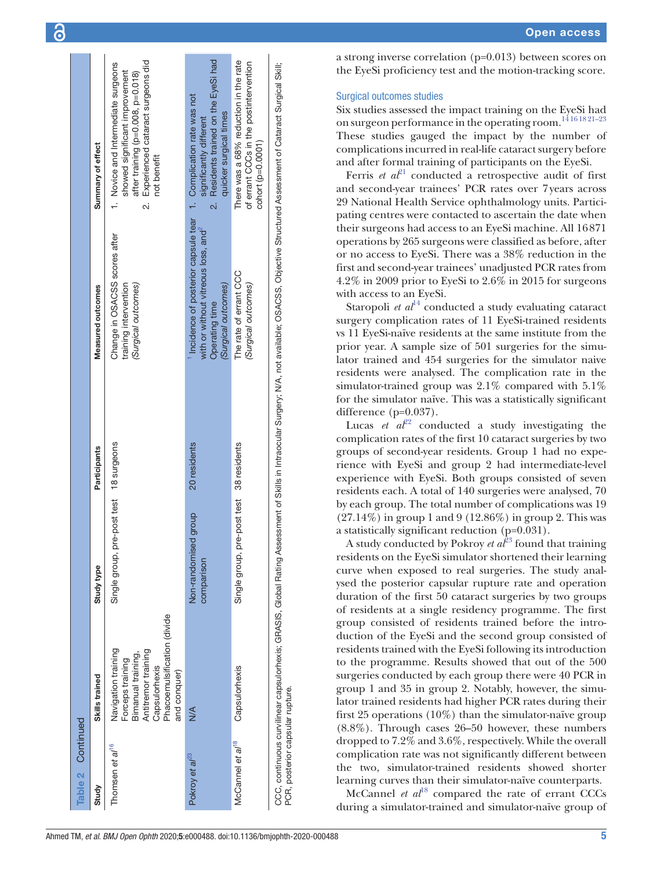a strong inverse correlation (p=0.013) between scores on the EyeSi proficiency test and the motion-tracking score.

#### Surgical outcomes studies

Six studies assessed the impact training on the EyeSi had on surgeon performance in the operating room.<sup>1416 18 21-23</sup> These studies gauged the impact by the number of complications incurred in real-life cataract surgery before and after formal training of participants on the EyeSi.

Ferris *et al*<sup>21</sup> conducted a retrospective audit of first and second-year trainees' PCR rates over 7years across 29 National Health Service ophthalmology units. Participating centres were contacted to ascertain the date when their surgeons had access to an EyeSi machine. All 16871 operations by 265 surgeons were classified as before, after or no access to EyeSi. There was a 38% reduction in the first and second-year trainees' unadjusted PCR rates from 4.2% in 2009 prior to EyeSi to 2.6% in 2015 for surgeons with access to an EyeSi.

Staropoli *et al*<sup>[14](#page-8-12)</sup> conducted a study evaluating cataract surgery complication rates of 11 EyeSi-trained residents vs 11 EyeSi-naïve residents at the same institute from the prior year. A sample size of 501 surgeries for the simulator trained and 454 surgeries for the simulator naive residents were analysed. The complication rate in the simulator-trained group was 2.1% compared with 5.1% for the simulator naïve. This was a statistically significant difference (p=0.037).

Lucas *et*  $a^{\ell^2}$  conducted a study investigating the complication rates of the first 10 cataract surgeries by two groups of second-year residents. Group 1 had no experience with EyeSi and group 2 had intermediate-level experience with EyeSi. Both groups consisted of seven residents each. A total of 140 surgeries were analysed, 70 by each group. The total number of complications was 19 (27.14%) in group 1 and 9 (12.86%) in group 2. This was a statistically significant reduction (p=0.031).

A study conducted by Pokroy *et al*<sup>[23](#page-8-20)</sup> found that training residents on the EyeSi simulator shortened their learning curve when exposed to real surgeries. The study analysed the posterior capsular rupture rate and operation duration of the first 50 cataract surgeries by two groups of residents at a single residency programme. The first group consisted of residents trained before the introduction of the EyeSi and the second group consisted of residents trained with the EyeSi following its introduction to the programme. Results showed that out of the 500 surgeries conducted by each group there were 40 PCR in group 1 and 35 in group 2. Notably, however, the simulator trained residents had higher PCR rates during their first 25 operations  $(10\%)$  than the simulator-naïve group (8.8%). Through cases 26–50 however, these numbers dropped to 7.2% and 3.6%, respectively. While the overall complication rate was not significantly different between the two, simulator-trained residents showed shorter learning curves than their simulator-naïve counterparts.

McCannel *et al*<sup>18</sup> compared the rate of errant CCCs during a simulator-trained and simulator-naïve group of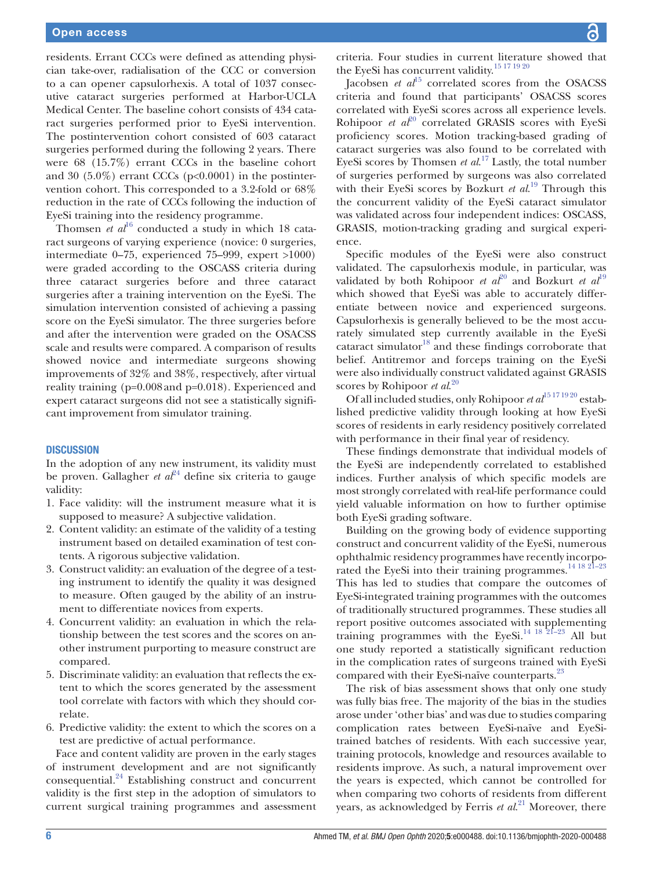residents. Errant CCCs were defined as attending physician take-over, radialisation of the CCC or conversion to a can opener capsulorhexis. A total of 1037 consecutive cataract surgeries performed at Harbor-UCLA Medical Center. The baseline cohort consists of 434 cataract surgeries performed prior to EyeSi intervention. The postintervention cohort consisted of 603 cataract surgeries performed during the following 2 years. There were 68 (15.7%) errant CCCs in the baseline cohort and 30  $(5.0\%)$  errant CCCs (p<0.0001) in the postintervention cohort. This corresponded to a 3.2-fold or 68% reduction in the rate of CCCs following the induction of EyeSi training into the residency programme.

Thomsen *et al*<sup>[16](#page-8-21)</sup> conducted a study in which 18 cataract surgeons of varying experience (novice: 0 surgeries, intermediate 0–75, experienced 75–999, expert >1000) were graded according to the OSCASS criteria during three cataract surgeries before and three cataract surgeries after a training intervention on the EyeSi. The simulation intervention consisted of achieving a passing score on the EyeSi simulator. The three surgeries before and after the intervention were graded on the OSACSS scale and results were compared. A comparison of results showed novice and intermediate surgeons showing improvements of 32% and 38%, respectively, after virtual reality training (p=0.008and p=0.018). Experienced and expert cataract surgeons did not see a statistically significant improvement from simulator training.

#### **DISCUSSION**

In the adoption of any new instrument, its validity must be proven. Gallagher *et*  $a^{24}$  $a^{24}$  $a^{24}$  define six criteria to gauge validity:

- 1. Face validity: will the instrument measure what it is supposed to measure? A subjective validation.
- 2. Content validity: an estimate of the validity of a testing instrument based on detailed examination of test contents. A rigorous subjective validation.
- 3. Construct validity: an evaluation of the degree of a testing instrument to identify the quality it was designed to measure. Often gauged by the ability of an instrument to differentiate novices from experts.
- 4. Concurrent validity: an evaluation in which the relationship between the test scores and the scores on another instrument purporting to measure construct are compared.
- 5. Discriminate validity: an evaluation that reflects the extent to which the scores generated by the assessment tool correlate with factors with which they should correlate.
- 6. Predictive validity: the extent to which the scores on a test are predictive of actual performance.

Face and content validity are proven in the early stages of instrument development and are not significantly consequential[.24](#page-8-22) Establishing construct and concurrent validity is the first step in the adoption of simulators to current surgical training programmes and assessment

criteria. Four studies in current literature showed that the EyeSi has concurrent validity.[15 17 19 20](#page-8-13)

Jacobsen *et al*<sup>15</sup> correlated scores from the OSACSS criteria and found that participants' OSACSS scores correlated with EyeSi scores across all experience levels. Rohipoor *et al*<sup>20</sup> correlated GRASIS scores with EyeSi proficiency scores. Motion tracking-based grading of cataract surgeries was also found to be correlated with EyeSi scores by Thomsen *et al*. [17](#page-8-17) Lastly, the total number of surgeries performed by surgeons was also correlated with their EyeSi scores by Bozkurt *et al*. [19](#page-8-15) Through this the concurrent validity of the EyeSi cataract simulator was validated across four independent indices: OSCASS, GRASIS, motion-tracking grading and surgical experience.

Specific modules of the EyeSi were also construct validated. The capsulorhexis module, in particular, was validated by both Rohipoor *et al*<sup>20</sup> and Bozkurt *et al*<sup>[19](#page-8-15)</sup> which showed that EyeSi was able to accurately differentiate between novice and experienced surgeons. Capsulorhexis is generally believed to be the most accurately simulated step currently available in the EyeSi cataract simulator $^{18}$  $^{18}$  $^{18}$  and these findings corroborate that belief. Antitremor and forceps training on the EyeSi were also individually construct validated against GRASIS scores by Rohipoor *et al*. [20](#page-8-16)

Of all included studies, only Rohipoor  $et al^{15\,17\,19\,20}$  established predictive validity through looking at how EyeSi scores of residents in early residency positively correlated with performance in their final year of residency.

These findings demonstrate that individual models of the EyeSi are independently correlated to established indices. Further analysis of which specific models are most strongly correlated with real-life performance could yield valuable information on how to further optimise both EyeSi grading software.

Building on the growing body of evidence supporting construct and concurrent validity of the EyeSi, numerous ophthalmic residency programmes have recently incorporated the EyeSi into their training programmes.<sup>14 18 21-23</sup> This has led to studies that compare the outcomes of EyeSi-integrated training programmes with the outcomes of traditionally structured programmes. These studies all report positive outcomes associated with supplementing training programmes with the EyeSi.[14 18 21–23](#page-8-12) All but one study reported a statistically significant reduction in the complication rates of surgeons trained with EyeSi compared with their EyeSi-naïve counterparts. $^{23}$  $^{23}$  $^{23}$ 

The risk of bias assessment shows that only one study was fully bias free. The majority of the bias in the studies arose under 'other bias' and was due to studies comparing complication rates between EyeSi-naïve and EyeSitrained batches of residents. With each successive year, training protocols, knowledge and resources available to residents improve. As such, a natural improvement over the years is expected, which cannot be controlled for when comparing two cohorts of residents from different years, as acknowledged by Ferris *et al*. [21](#page-8-18) Moreover, there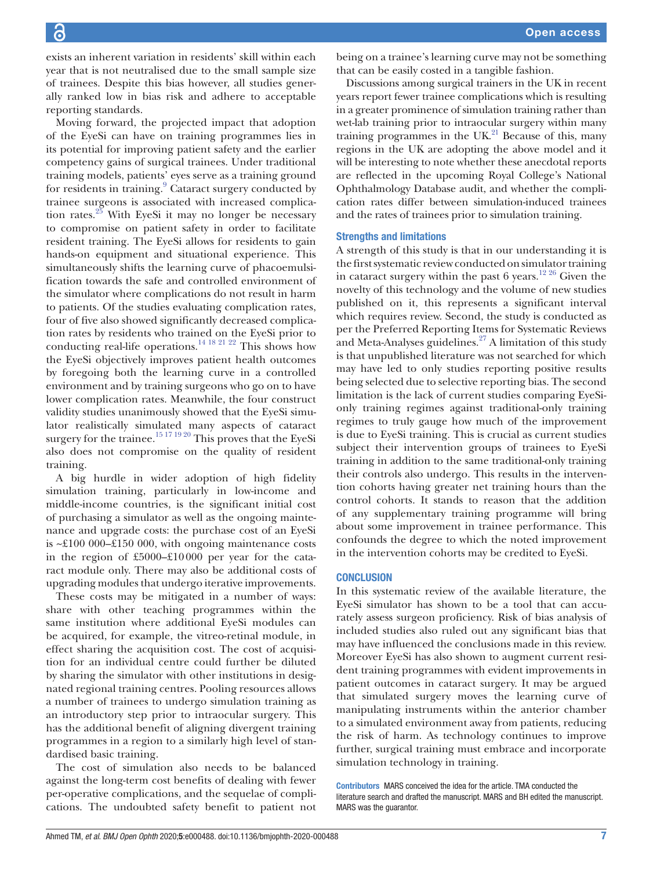exists an inherent variation in residents' skill within each year that is not neutralised due to the small sample size of trainees. Despite this bias however, all studies generally ranked low in bias risk and adhere to acceptable reporting standards.

Moving forward, the projected impact that adoption of the EyeSi can have on training programmes lies in its potential for improving patient safety and the earlier competency gains of surgical trainees. Under traditional training models, patients' eyes serve as a training ground for residents in training.<sup>[9](#page-8-6)</sup> Cataract surgery conducted by trainee surgeons is associated with increased complication rates. $25$  With EyeSi it may no longer be necessary to compromise on patient safety in order to facilitate resident training. The EyeSi allows for residents to gain hands-on equipment and situational experience. This simultaneously shifts the learning curve of phacoemulsification towards the safe and controlled environment of the simulator where complications do not result in harm to patients. Of the studies evaluating complication rates, four of five also showed significantly decreased complication rates by residents who trained on the EyeSi prior to conducting real-life operations.<sup>[14 18 21 22](#page-8-12)</sup> This shows how the EyeSi objectively improves patient health outcomes by foregoing both the learning curve in a controlled environment and by training surgeons who go on to have lower complication rates. Meanwhile, the four construct validity studies unanimously showed that the EyeSi simulator realistically simulated many aspects of cataract surgery for the trainee.<sup>[15 17 19 20](#page-8-13)</sup> This proves that the EyeSi also does not compromise on the quality of resident training.

A big hurdle in wider adoption of high fidelity simulation training, particularly in low-income and middle-income countries, is the significant initial cost of purchasing a simulator as well as the ongoing maintenance and upgrade costs: the purchase cost of an EyeSi is  $\sim$ £100 000–£150 000, with ongoing maintenance costs in the region of £5000–£10000 per year for the cataract module only. There may also be additional costs of upgrading modules that undergo iterative improvements.

These costs may be mitigated in a number of ways: share with other teaching programmes within the same institution where additional EyeSi modules can be acquired, for example, the vitreo-retinal module, in effect sharing the acquisition cost. The cost of acquisition for an individual centre could further be diluted by sharing the simulator with other institutions in designated regional training centres. Pooling resources allows a number of trainees to undergo simulation training as an introductory step prior to intraocular surgery. This has the additional benefit of aligning divergent training programmes in a region to a similarly high level of standardised basic training.

The cost of simulation also needs to be balanced against the long-term cost benefits of dealing with fewer per-operative complications, and the sequelae of complications. The undoubted safety benefit to patient not

being on a trainee's learning curve may not be something that can be easily costed in a tangible fashion.

Discussions among surgical trainers in the UK in recent years report fewer trainee complications which is resulting in a greater prominence of simulation training rather than wet-lab training prior to intraocular surgery within many training programmes in the UK $^{21}$  Because of this, many regions in the UK are adopting the above model and it will be interesting to note whether these anecdotal reports are reflected in the upcoming Royal College's National Ophthalmology Database audit, and whether the complication rates differ between simulation-induced trainees and the rates of trainees prior to simulation training.

#### Strengths and limitations

A strength of this study is that in our understanding it is the first systematic review conducted on simulator training in cataract surgery within the past 6 years.<sup>[12 26](#page-8-10)</sup> Given the novelty of this technology and the volume of new studies published on it, this represents a significant interval which requires review. Second, the study is conducted as per the Preferred Reporting Items for Systematic Reviews and Meta-Analyses guidelines. $27$  A limitation of this study is that unpublished literature was not searched for which may have led to only studies reporting positive results being selected due to selective reporting bias. The second limitation is the lack of current studies comparing EyeSionly training regimes against traditional-only training regimes to truly gauge how much of the improvement is due to EyeSi training. This is crucial as current studies subject their intervention groups of trainees to EyeSi training in addition to the same traditional-only training their controls also undergo. This results in the intervention cohorts having greater net training hours than the control cohorts. It stands to reason that the addition of any supplementary training programme will bring about some improvement in trainee performance. This confounds the degree to which the noted improvement in the intervention cohorts may be credited to EyeSi.

#### **CONCLUSION**

In this systematic review of the available literature, the EyeSi simulator has shown to be a tool that can accurately assess surgeon proficiency. Risk of bias analysis of included studies also ruled out any significant bias that may have influenced the conclusions made in this review. Moreover EyeSi has also shown to augment current resident training programmes with evident improvements in patient outcomes in cataract surgery. It may be argued that simulated surgery moves the learning curve of manipulating instruments within the anterior chamber to a simulated environment away from patients, reducing the risk of harm. As technology continues to improve further, surgical training must embrace and incorporate simulation technology in training.

Contributors MARS conceived the idea for the article. TMA conducted the literature search and drafted the manuscript. MARS and BH edited the manuscript. MARS was the guarantor.